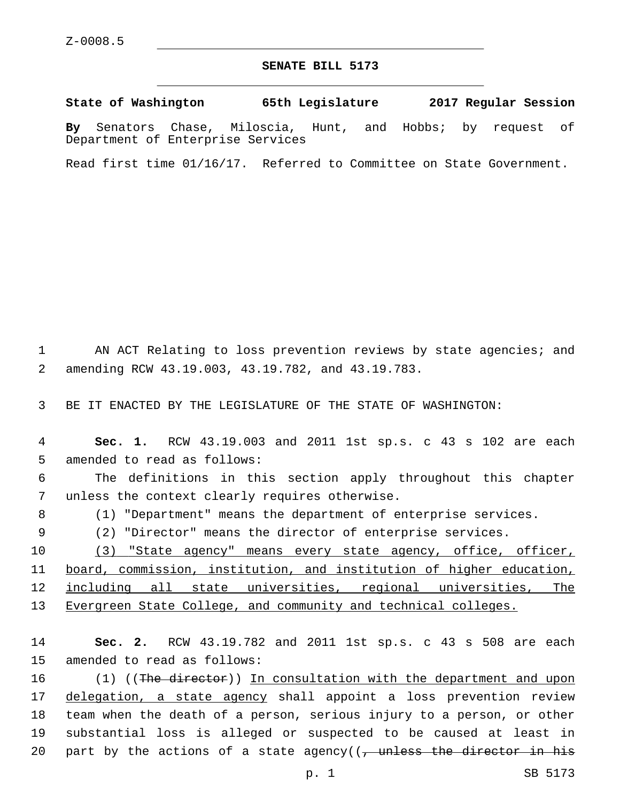## **SENATE BILL 5173**

**State of Washington 65th Legislature 2017 Regular Session**

**By** Senators Chase, Miloscia, Hunt, and Hobbs; by request of Department of Enterprise Services

Read first time 01/16/17. Referred to Committee on State Government.

1 AN ACT Relating to loss prevention reviews by state agencies; and amending RCW 43.19.003, 43.19.782, and 43.19.783.2

3 BE IT ENACTED BY THE LEGISLATURE OF THE STATE OF WASHINGTON:

4 **Sec. 1.** RCW 43.19.003 and 2011 1st sp.s. c 43 s 102 are each 5 amended to read as follows:

6 The definitions in this section apply throughout this chapter 7 unless the context clearly requires otherwise.

8 (1) "Department" means the department of enterprise services.

9 (2) "Director" means the director of enterprise services.

10 (3) "State agency" means every state agency, office, officer, board, commission, institution, and institution of higher education, including all state universities, regional universities, The Evergreen State College, and community and technical colleges.

14 **Sec. 2.** RCW 43.19.782 and 2011 1st sp.s. c 43 s 508 are each 15 amended to read as follows:

16 (1) ((The director)) In consultation with the department and upon 17 delegation, a state agency shall appoint a loss prevention review 18 team when the death of a person, serious injury to a person, or other 19 substantial loss is alleged or suspected to be caused at least in 20 part by the actions of a state agency( $(-)$  unless the director in his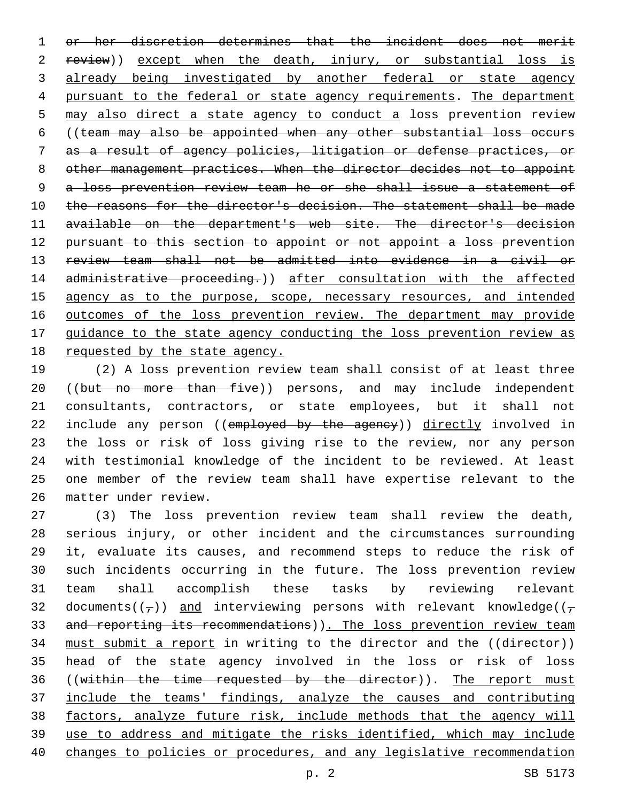or her discretion determines that the incident does not merit 2 review)) except when the death, injury, or substantial loss is 3 already being investigated by another federal or state agency pursuant to the federal or state agency requirements. The department may also direct a state agency to conduct a loss prevention review ((team may also be appointed when any other substantial loss occurs as a result of agency policies, litigation or defense practices, or other management practices. When the director decides not to appoint a loss prevention review team he or she shall issue a statement of 10 the reasons for the director's decision. The statement shall be made available on the department's web site. The director's decision pursuant to this section to appoint or not appoint a loss prevention review team shall not be admitted into evidence in a civil or administrative proceeding.)) after consultation with the affected 15 agency as to the purpose, scope, necessary resources, and intended 16 outcomes of the loss prevention review. The department may provide guidance to the state agency conducting the loss prevention review as requested by the state agency.

 (2) A loss prevention review team shall consist of at least three 20 ((but no more than five)) persons, and may include independent consultants, contractors, or state employees, but it shall not 22 include any person ((employed by the agency)) directly involved in the loss or risk of loss giving rise to the review, nor any person with testimonial knowledge of the incident to be reviewed. At least one member of the review team shall have expertise relevant to the matter under review.26

 (3) The loss prevention review team shall review the death, serious injury, or other incident and the circumstances surrounding it, evaluate its causes, and recommend steps to reduce the risk of such incidents occurring in the future. The loss prevention review team shall accomplish these tasks by reviewing relevant 32 documents( $(\tau)$ ) and interviewing persons with relevant knowledge( $(\tau)$ 33 and reporting its recommendations)). The loss prevention review team 34 must submit a report in writing to the director and the ((director)) 35 head of the state agency involved in the loss or risk of loss 36 ((within the time requested by the director)). The report must include the teams' findings, analyze the causes and contributing factors, analyze future risk, include methods that the agency will use to address and mitigate the risks identified, which may include changes to policies or procedures, and any legislative recommendation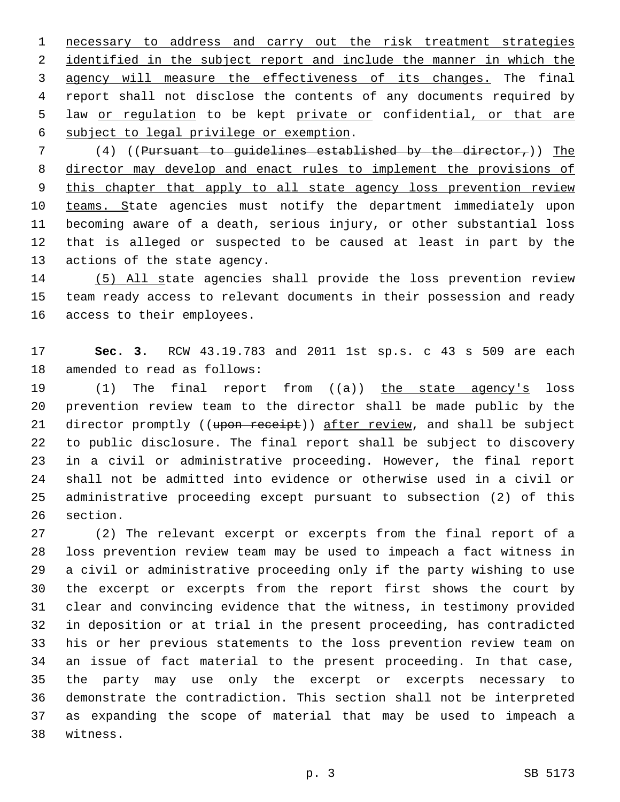necessary to address and carry out the risk treatment strategies 2 identified in the subject report and include the manner in which the agency will measure the effectiveness of its changes. The final report shall not disclose the contents of any documents required by 5 law or regulation to be kept private or confidential, or that are 6 subject to legal privilege or exemption.

7 (4) ((Pursuant to quidelines established by the director,)) The director may develop and enact rules to implement the provisions of 9 this chapter that apply to all state agency loss prevention review 10 teams. State agencies must notify the department immediately upon becoming aware of a death, serious injury, or other substantial loss that is alleged or suspected to be caused at least in part by the 13 actions of the state agency.

 (5) All state agencies shall provide the loss prevention review team ready access to relevant documents in their possession and ready 16 access to their employees.

 **Sec. 3.** RCW 43.19.783 and 2011 1st sp.s. c 43 s 509 are each 18 amended to read as follows:

19 (1) The final report from ((a)) the state agency's loss prevention review team to the director shall be made public by the 21 director promptly ((upon receipt)) after review, and shall be subject to public disclosure. The final report shall be subject to discovery in a civil or administrative proceeding. However, the final report shall not be admitted into evidence or otherwise used in a civil or administrative proceeding except pursuant to subsection (2) of this 26 section.

 (2) The relevant excerpt or excerpts from the final report of a loss prevention review team may be used to impeach a fact witness in a civil or administrative proceeding only if the party wishing to use the excerpt or excerpts from the report first shows the court by clear and convincing evidence that the witness, in testimony provided in deposition or at trial in the present proceeding, has contradicted his or her previous statements to the loss prevention review team on an issue of fact material to the present proceeding. In that case, the party may use only the excerpt or excerpts necessary to demonstrate the contradiction. This section shall not be interpreted as expanding the scope of material that may be used to impeach a 38 witness.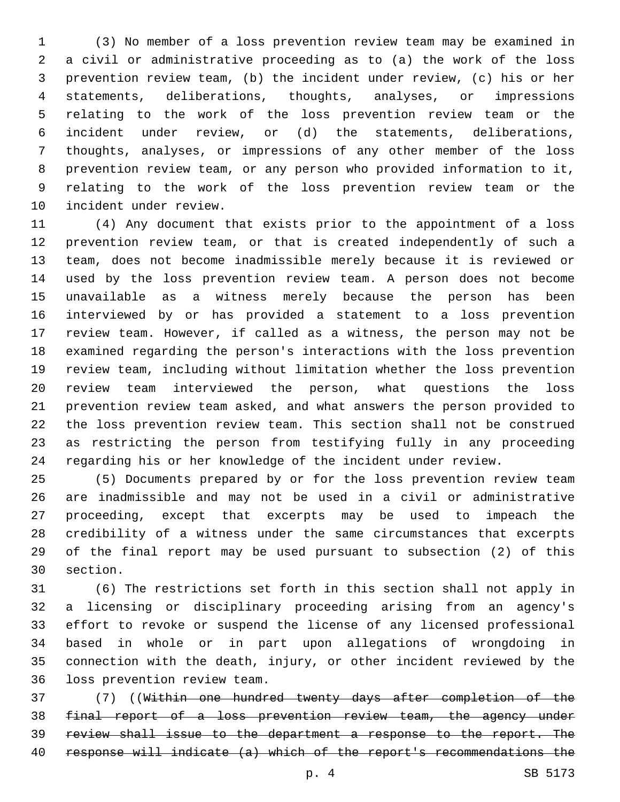(3) No member of a loss prevention review team may be examined in a civil or administrative proceeding as to (a) the work of the loss prevention review team, (b) the incident under review, (c) his or her statements, deliberations, thoughts, analyses, or impressions relating to the work of the loss prevention review team or the incident under review, or (d) the statements, deliberations, thoughts, analyses, or impressions of any other member of the loss prevention review team, or any person who provided information to it, relating to the work of the loss prevention review team or the 10 incident under review.

 (4) Any document that exists prior to the appointment of a loss prevention review team, or that is created independently of such a team, does not become inadmissible merely because it is reviewed or used by the loss prevention review team. A person does not become unavailable as a witness merely because the person has been interviewed by or has provided a statement to a loss prevention review team. However, if called as a witness, the person may not be examined regarding the person's interactions with the loss prevention review team, including without limitation whether the loss prevention review team interviewed the person, what questions the loss prevention review team asked, and what answers the person provided to the loss prevention review team. This section shall not be construed as restricting the person from testifying fully in any proceeding regarding his or her knowledge of the incident under review.

 (5) Documents prepared by or for the loss prevention review team are inadmissible and may not be used in a civil or administrative proceeding, except that excerpts may be used to impeach the credibility of a witness under the same circumstances that excerpts of the final report may be used pursuant to subsection (2) of this 30 section.

 (6) The restrictions set forth in this section shall not apply in a licensing or disciplinary proceeding arising from an agency's effort to revoke or suspend the license of any licensed professional based in whole or in part upon allegations of wrongdoing in connection with the death, injury, or other incident reviewed by the 36 loss prevention review team.

 (7) ((Within one hundred twenty days after completion of the final report of a loss prevention review team, the agency under review shall issue to the department a response to the report. The response will indicate (a) which of the report's recommendations the